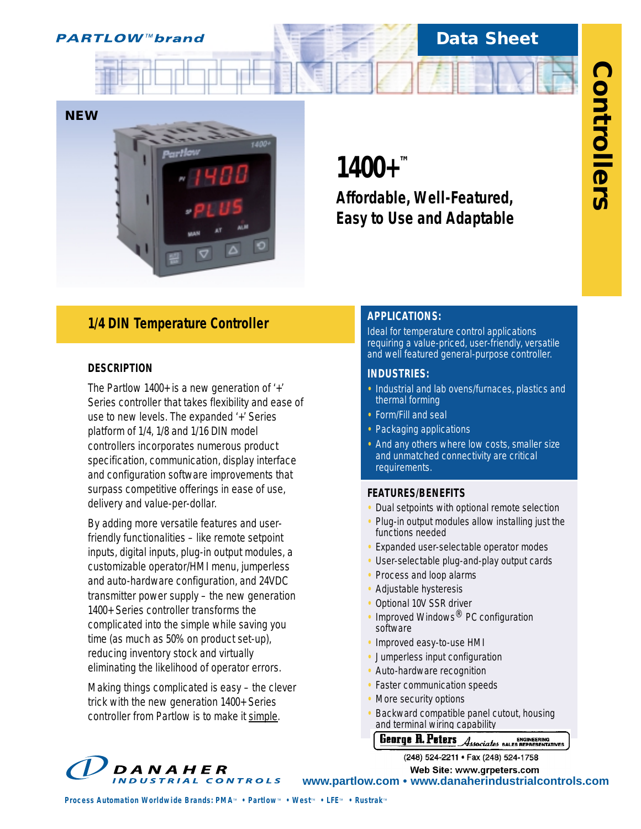

# **Data Sheet**



# *1/4 DIN Temperature Controller*

## **DESCRIPTION**

The Partlow 1400+ is a new generation of '+' Series controller that takes flexibility and ease of use to new levels. The expanded '+' Series platform of 1/4, 1/8 and 1/16 DIN model controllers incorporates numerous product specification, communication, display interface and configuration software improvements that surpass competitive offerings in ease of use, delivery and value-per-dollar.

By adding more versatile features and userfriendly functionalities – like remote setpoint inputs, digital inputs, plug-in output modules, a customizable operator/HMI menu, jumperless and auto-hardware configuration, and 24VDC transmitter power supply – the new generation 1400+ Series controller transforms the complicated into the simple while saving you time (as much as 50% on product set-up), reducing inventory stock and virtually eliminating the likelihood of operator errors.

Making things complicated is easy – the clever trick with the new generation 1400+ Series controller from Partlow is to make it simple.

# **1400+™**

*Affordable, Well-Featured, Easy to Use and Adaptable*

# **APPLICATIONS:**

Ideal for temperature control applications requiring a value-priced, user-friendly, versatile and well featured general-purpose controller.

# **INDUSTRIES:**

- **•** Industrial and lab ovens/furnaces, plastics and thermal forming
- **•** Form/Fill and seal
- **•** Packaging applications
- **•** And any others where low costs, smaller size and unmatched connectivity are critical requirements.

## **FEATURES/BENEFITS**

- **•** Dual setpoints with optional remote selection
- **•** Plug-in output modules allow installing just the functions needed
- **•** Expanded user-selectable operator modes
- **•** User-selectable plug-and-play output cards
- **•** Process and loop alarms
- **•** Adjustable hysteresis
- **•** Optional 10V SSR driver
- Improved Windows<sup>®</sup> PC configuration software
- **•** Improved easy-to-use HMI
- **•** Jumperless input configuration
- **•** Auto-hardware recognition
- **•** Faster communication speeds
- **•** More security options
- **•** Backward compatible panel cutout, housing and terminal wiring capability

**CEBTTE R. PETETS**<br>(248) 524-2211 • Fax (248) 524-1758



**Web Site: www.grpeters.com www.partlow.com • www.danaherindustrialcontrols.com**

*Process Automation Worldwide Brands: PMA<sup><i>M*</sup> • Partlow<sup>*M*</sup> • West<sub>*M*</sub> • LFE<sup>*M*</sup> • Rustrak<sup>*M*</sup>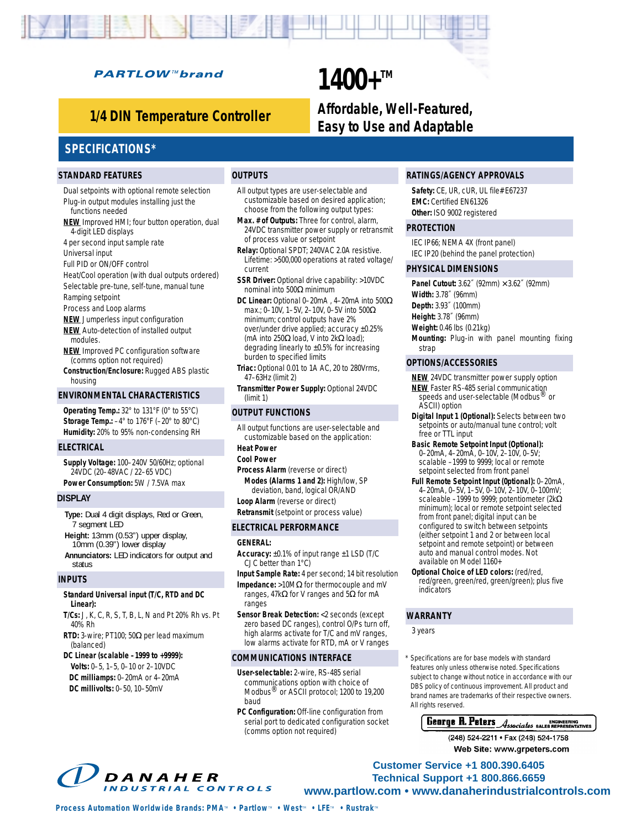## **PARTLOW™brand**

**1400+™** 

*Affordable, Well-Featured, Easy to Use and Adaptable 1/4 DIN Temperature Controller*

# **SPECIFICATIONS\***

#### **STANDARD FEATURES**

Dual setpoints with optional remote selection Plug-in output modules installing just the functions needed

- **NEW** Improved HMI; four button operation, dual 4-digit LED displays
- 4 per second input sample rate
- Universal input

Full PID or ON/OFF control

- Heat/Cool operation (with dual outputs ordered) Selectable pre-tune, self-tune, manual tune
- Ramping setpoint
- Process and Loop alarms
- **NEW** Jumperless input configuration
- **NEW** Auto-detection of installed output modules.
- **NEW** Improved PC configuration software (comms option not required)
- **Construction/Enclosure:** Rugged ABS plastic housing

#### **ENVIRONMENTAL CHARACTERISTICS**

**Operating Temp.:** 32° to 131°F (0° to 55°C) **Storage Temp.:** –4° to 176°F (–20° to 80°C) **Humidity:** 20% to 95% non-condensing RH

#### **ELECTRICAL**

**Supply Voltage:** 100–240V 50/60Hz; optional 24VDC (20–48VAC / 22–65 VDC) **Power Consumption:** 5W / 7.5VA max

#### **DISPLAY**

**Type:** Dual 4 digit displays, Red or Green, 7 segment LED **Height:** 13mm (0.53") upper display, 10mm (0.39") lower display **Annunciators:** LED indicators for output and status

#### **INPUTS**

#### **Standard Universal input (T/C, RTD and DC Linear):**

**T/Cs:** J, K, C, R, S, T, B, L, N and Pt 20% Rh vs. Pt 40% Rh

**RTD:** 3-wire; PT100; 50Ω per lead maximum (balanced)

#### **DC Linear (scalable –1999 to +9999): Volts:** 0–5, 1–5, 0–10 or 2–10VDC **DC milliamps:** 0–20mA or 4–20mA

**DC millivolts:** 0–50, 10–50mV

### **OUTPUTS**

All output types are user-selectable and customizable based on desired application; choose from the following output types:

- **Max. # of Outputs:** Three for control, alarm, 24VDC transmitter power supply or retransmit of process value or setpoint
- **Relay:** Optional SPDT; 240VAC 2.0A resistive. Lifetime: >500,000 operations at rated voltage/ current
- **SSR Driver:** Optional drive capability: >10VDC nominal into 500Ω minimum
- **DC Linear:** Optional 0–20mA , 4–20mA into 500Ω max.; 0–10V, 1–5V, 2–10V, 0–5V into 500Ω minimum; control outputs have 2% over/under drive applied; accuracy ±0.25% (mA into 250Ω load, V into 2kΩ load); degrading linearly to ±0.5% for increasing burden to specified limits
- **Triac:** Optional 0.01 to 1A AC, 20 to 280Vrms, 47–63Hz (limit 2)
- **Transmitter Power Supply:** Optional 24VDC (limit 1)

#### **OUTPUT FUNCTIONS**

- All output functions are user-selectable and customizable based on the application:
- **Heat Power**

#### **Cool Power**

- **Process Alarm** (reverse or direct) **Modes (Alarms 1 and 2):** High/low, SP deviation, band, logical OR/AND
- **Loop Alarm** (reverse or direct)
- **Retransmit** (setpoint or process value)

#### **ELECTRICAL PERFORMANCE**

#### **GENERAL:**

- **Accuracy:** ±0.1% of input range ±1 LSD (T/C CJC better than 1°C)
- **Input Sample Rate:** 4 per second; 14 bit resolution
- **Impedance:** >10MΩ for thermocouple and mV ranges, 47kΩ for V ranges and 5Ω for mA ranges
- **Sensor Break Detection:** <2 seconds (except zero based DC ranges), control O/Ps turn off, high alarms activate for T/C and mV ranges, low alarms activate for RTD, mA or V ranges

#### **COMMUNICATIONS INTERFACE**

- **User-selectable:** 2-wire, RS-485 serial communications option with choice of Modbus® or ASCII protocol; 1200 to 19,200 baud
- **PC Configuration:** Off-line configuration from serial port to dedicated configuration socket (comms option not required)

#### **RATINGS/AGENCY APPROVALS**

**Safety:** CE, UR, cUR, UL file# E67237 **EMC:** Certified EN61326 **Other:** ISO 9002 registered

#### **PROTECTION**

IEC IP66; NEMA 4X (front panel) IEC IP20 (behind the panel protection)

#### **PHYSICAL DIMENSIONS**

**Panel Cutout:** 3.62˝ (92mm) × 3.62˝ (92mm) **Width:** 3.78˝ (96mm)

**Depth:** 3.93˝ (100mm)

- **Height:** 3.78˝ (96mm)
- **Weight:** 0.46 lbs (0.21kg)
- **Mounting:** Plug-in with panel mounting fixing strap

#### **OPTIONS/ACCESSORIES**

- **NEW** 24VDC transmitter power supply option
- **NEW** Faster RS-485 serial communication speeds and user-selectable (Modbus® or ASCII) option
- **Digital Input 1 (Optional):** Selects between two setpoints or auto/manual tune control; volt free or TTL input

**Basic Remote Setpoint Input (Optional):** 0–20mA, 4–20mA, 0–10V, 2–10V, 0–5V; scalable –1999 to 9999; local or remote setpoint selected from front panel

- **Full Remote Setpoint Input (0ptional):** 0–20mA, 4–20mA, 0–5V, 1–5V, 0–10V, 2–10V, 0–100mV; scaleable –1999 to 9999; potentiometer (2kΩ minimum); local or remote setpoint selected from front panel; digital input can be configured to switch between setpoints (either setpoint 1 and 2 or between local setpoint and remote setpoint) or between auto and manual control modes. Not available on Model 1160+
- **Optional Choice of LED colors:** (red/red, red/green, green/red, green/green); plus five indicators

#### **WARRANTY**

3 years

Specifications are for base models with standard features only unless otherwise noted. Specifications subject to change without notice in accordance with our DBS policy of continuous improvement. All product and brand names are trademarks of their respective owners. All rights reserved.

# **George R. Peters Associates SALES REPRESENTATIVES**

(248) 524-2211 · Fax (248) 524-1758 Web Site: www.grpeters.com



**Customer Service +1 800.390.6405 Technical Support +1 800.866.6659 www.partlow.com • www.danaherindustrialcontrols.com**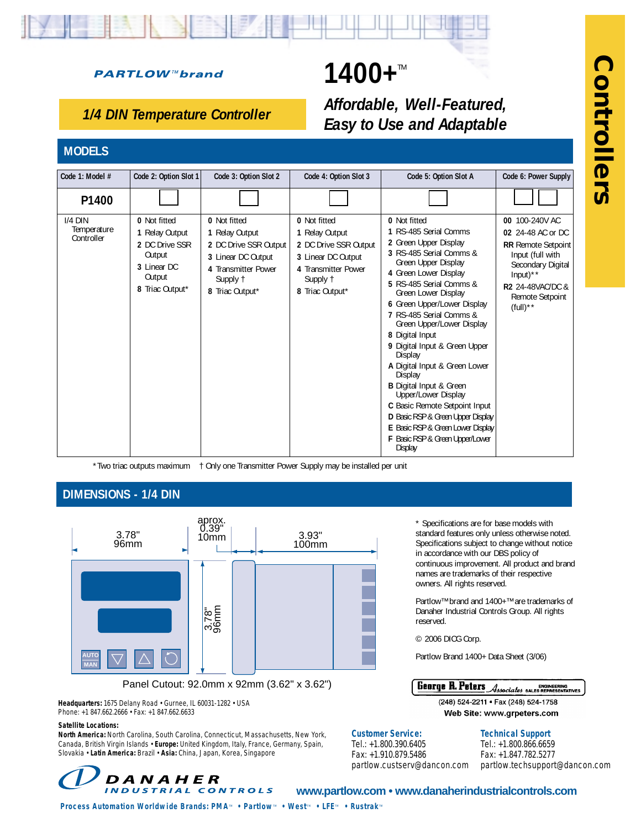# **PARTLOW™brand**

# 1400+

# *Affordable, Well-Featured, Easy to Use and Adaptable*

# *1/4 DIN Temperature Controller*

# **MODELS**

| Code 1: Model #                        | Code 2: Option Slot 1                                                                                  | Code 3: Option Slot 2                                                                                                               | Code 4: Option Slot 3                                                                                                               | Code 5: Option Slot A                                                                                                                                                                                                                                                                                                                                                                                                                                                                                                                                                                                                  | Code 6: Power Supply                                                                                                                                                                                 |
|----------------------------------------|--------------------------------------------------------------------------------------------------------|-------------------------------------------------------------------------------------------------------------------------------------|-------------------------------------------------------------------------------------------------------------------------------------|------------------------------------------------------------------------------------------------------------------------------------------------------------------------------------------------------------------------------------------------------------------------------------------------------------------------------------------------------------------------------------------------------------------------------------------------------------------------------------------------------------------------------------------------------------------------------------------------------------------------|------------------------------------------------------------------------------------------------------------------------------------------------------------------------------------------------------|
| P1400                                  |                                                                                                        |                                                                                                                                     |                                                                                                                                     |                                                                                                                                                                                                                                                                                                                                                                                                                                                                                                                                                                                                                        |                                                                                                                                                                                                      |
| $I/4$ DIN<br>Temperature<br>Controller | 0 Not fitted<br>1 Relay Output<br>2 DC Drive SSR<br>Output<br>3 Linear DC<br>Output<br>8 Triac Output* | 0 Not fitted<br>1 Relay Output<br>2 DC Drive SSR Output<br>3 Linear DC Output<br>4 Transmitter Power<br>Supply 1<br>8 Triac Output* | 0 Not fitted<br>1 Relay Output<br>2 DC Drive SSR Output<br>3 Linear DC Output<br>4 Transmitter Power<br>Supply 1<br>8 Triac Output* | 0 Not fitted<br>1 RS-485 Serial Comms<br>2 Green Upper Display<br>3 RS-485 Serial Comms &<br>Green Upper Display<br>4 Green Lower Display<br>5 RS-485 Serial Comms &<br>Green Lower Display<br>6 Green Upper/Lower Display<br>7 RS-485 Serial Comms &<br>Green Upper/Lower Display<br>8 Digital Input<br>9 Digital Input & Green Upper<br>Display<br>A Digital Input & Green Lower<br>Display<br><b>B</b> Digital Input & Green<br>Upper/Lower Display<br>C Basic Remote Setpoint Input<br>D Basic RSP & Green Upper Display<br>E Basic RSP & Green Lower Display<br>F Basic RSP & Green Upper/Lower<br><b>Display</b> | 00 100-240V AC<br>02 24-48 AC or DC<br><b>RR</b> Remote Setpoint<br>Input (full with<br>Secondary Digital<br>Input) $**$<br><b>R2 24-48VAC/DC &amp;</b><br>Remote Setpoint<br>$(full)$ <sup>**</sup> |

\*Two triac outputs maximum † Only one Transmitter Power Supply may be installed per unit

# **DIMENSIONS - 1/4 DIN**



Panel Cutout: 92.0mm x 92mm (3.62" x 3.62")

**Headquarters:** 1675 Delany Road • Gurnee, IL 60031-1282 • USA Phone: +1 847.662.2666 • Fax: +1 847.662.6633

#### **Satellite Locations:**

**North America:** North Carolina, South Carolina, Connecticut, Massachusetts, New York, Canada, British Virgin Islands • **Europe:** United Kingdom, Italy, France, Germany, Spain, Slovakia • **Latin America:** Brazil • **Asia:** China, Japan, Korea, Singapore

\* Specifications are for base models with standard features only unless otherwise noted. Specifications subject to change without notice in accordance with our DBS policy of continuous improvement. All product and brand names are trademarks of their respective owners. All rights reserved.

Partlow™ brand and 1400+™ are trademarks of Danaher Industrial Controls Group. All rights reserved.

© 2006 DICG Corp.

Partlow Brand 1400+ Data Sheet (3/06)

**George R. Peters** ENGINEERING<br>Associates bales representatives

> (248) 524-2211 · Fax (248) 524-1758 Web Site: www.grpeters.com

### **Technical Support**

Tel.: +1.800.866.6659 Fax: +1.847.782.5277 partlow.techsupport@dancon.com



# **www.partlow.com • www.danaherindustrialcontrols.com**

**Customer Service:** Tel.: +1.800.390.6405 Fax: +1.910.879.5486

partlow.custserv@dancon.com

*Process Automation Worldwide Brands: PMA<sup>™</sup> • Partlow<sup><i>M*</sup> • West<sup>*M*</sup> • LFE<sup>*M*</sup> • Rustrak<sup>*M*</sup>